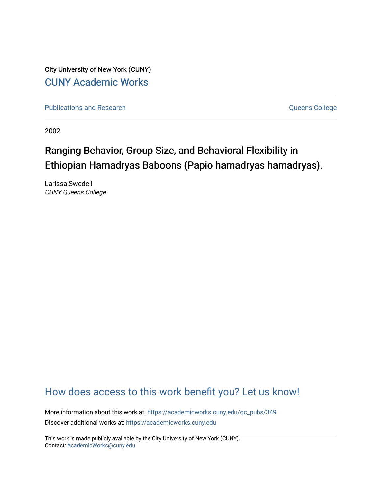City University of New York (CUNY) [CUNY Academic Works](https://academicworks.cuny.edu/) 

[Publications and Research](https://academicworks.cuny.edu/qc_pubs) **College** College and Theorem and Theorem and Theorem and Theorem and Theorem and Theorem and Theorem and Theorem and Theorem and Theorem and Theorem and Theorem and Theorem and Theorem and Theore

2002

# Ranging Behavior, Group Size, and Behavioral Flexibility in Ethiopian Hamadryas Baboons (Papio hamadryas hamadryas).

Larissa Swedell CUNY Queens College

## [How does access to this work benefit you? Let us know!](http://ols.cuny.edu/academicworks/?ref=https://academicworks.cuny.edu/qc_pubs/349)

More information about this work at: [https://academicworks.cuny.edu/qc\\_pubs/349](https://academicworks.cuny.edu/qc_pubs/349) Discover additional works at: [https://academicworks.cuny.edu](https://academicworks.cuny.edu/?)

This work is made publicly available by the City University of New York (CUNY). Contact: [AcademicWorks@cuny.edu](mailto:AcademicWorks@cuny.edu)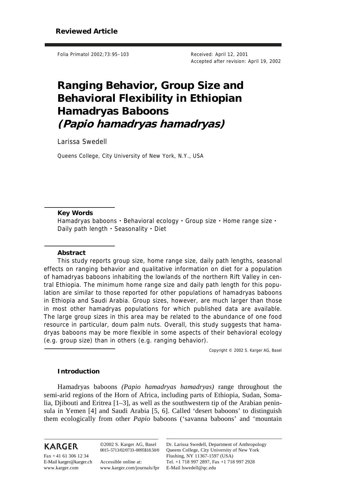Folia Primatol 2002;73:95–103 Received: April 12, 2001

Accepted after revision: April 19, 2002

## **Ranging Behavior, Group Size and Behavioral Flexibility in Ethiopian Hamadryas Baboons (Papio hamadryas hamadryas)**

Larissa Swedell

Queens College, City University of New York, N.Y., USA

## **Key Words**

Hamadryas baboons  $\cdot$  Behavioral ecology  $\cdot$  Group size  $\cdot$  Home range size  $\cdot$ Daily path length  $\cdot$  Seasonality  $\cdot$  Diet

#### **Abstract**

This study reports group size, home range size, daily path lengths, seasonal effects on ranging behavior and qualitative information on diet for a population of hamadryas baboons inhabiting the lowlands of the northern Rift Valley in central Ethiopia. The minimum home range size and daily path length for this population are similar to those reported for other populations of hamadryas baboons in Ethiopia and Saudi Arabia. Group sizes, however, are much larger than those in most other hamadryas populations for which published data are available. The large group sizes in this area may be related to the abundance of one food resource in particular, doum palm nuts. Overall, this study suggests that hamadryas baboons may be more flexible in some aspects of their behavioral ecology (e.g. group size) than in others (e.g. ranging behavior).

Copyright © 2002 S. Karger AG, Basel

## **Introduction**

Hamadryas baboons *(Papio hamadryas hamadryas)* range throughout the semi-arid regions of the Horn of Africa, including parts of Ethiopia, Sudan, Somalia, Djibouti and Eritrea [1–3], as well as the southwestern tip of the Arabian peninsula in Yemen [4] and Saudi Arabia [5, 6]. Called 'desert baboons' to distinguish them ecologically from other *Papio* baboons ('savanna baboons' and 'mountain

## **KARGER**

2002 S. Karger AG, Basel 0015–5713/02/0733–0095\$18.50/0

Fax + 41 61 306 12 34 E-Mail karger@karger.ch Accessible online at: www.karger.com

www.karger.com/journals/fpr E-Mail lswedell@qc.edu Dr. Larissa Swedell, Department of Anthropology Queens College, City University of New York Flushing, NY 11367-1597 (USA) Tel. +1 718 997 2897, Fax +1 718 997 2928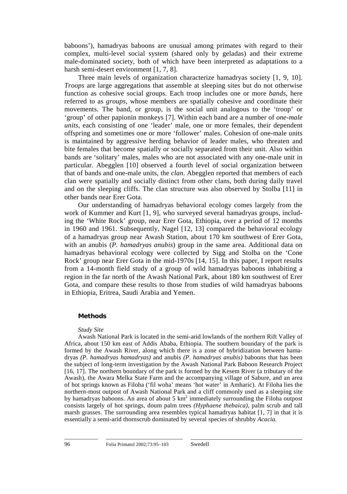baboons'), hamadryas baboons are unusual among primates with regard to their complex, multi-level social system (shared only by geladas) and their extreme male-dominated society, both of which have been interpreted as adaptations to a harsh semi-desert environment [1, 7, 8].

Three main levels of organization characterize hamadryas society [1, 9, 10]. *Troops* are large aggregations that assemble at sleeping sites but do not otherwise function as cohesive social groups. Each troop includes one or more *bands*, here referred to as *groups*, whose members are spatially cohesive and coordinate their movements. The band, or group, is the social unit analogous to the 'troop' or 'group' of other papionin monkeys [7]. Within each band are a number of *one-male units*, each consisting of one 'leader' male, one or more females, their dependent offspring and sometimes one or more 'follower' males. Cohesion of one-male units is maintained by aggressive herding behavior of leader males, who threaten and bite females that become spatially or socially separated from their unit. Also within bands are 'solitary' males, males who are not associated with any one-male unit in particular. Abegglen [10] observed a fourth level of social organization between that of bands and one-male units, the *clan*. Abegglen reported that members of each clan were spatially and socially distinct from other clans, both during daily travel and on the sleeping cliffs. The clan structure was also observed by Stolba [11] in other bands near Erer Gota.

Our understanding of hamadryas behavioral ecology comes largely from the work of Kummer and Kurt [1, 9], who surveyed several hamadryas groups, including the 'White Rock' group, near Erer Gota, Ethiopia, over a period of 12 months in 1960 and 1961. Subsequently, Nagel [12, 13] compared the behavioral ecology of a hamadryas group near Awash Station, about 170 km southwest of Erer Gota, with an anubis (*P. hamadryas anubis*) group in the same area. Additional data on hamadryas behavioral ecology were collected by Sigg and Stolba on the 'Cone Rock' group near Erer Gota in the mid-1970s [14, 15]. In this paper, I report results from a 14-month field study of a group of wild hamadryas baboons inhabiting a region in the far north of the Awash National Park, about 180 km southwest of Erer Gota, and compare these results to those from studies of wild hamadryas baboons in Ethiopia, Eritrea, Saudi Arabia and Yemen.

#### **Methods**

## *Study Site*

Awash National Park is located in the semi-arid lowlands of the northern Rift Valley of Africa, about 150 km east of Addis Ababa, Ethiopia. The southern boundary of the park is formed by the Awash River, along which there is a zone of hybridization between hamadryas *(P. hamadryas hamadryas)* and anubis *(P. hamadryas anubis)* baboons that has been the subject of long-term investigation by the Awash National Park Baboon Research Project [16, 17]. The northern boundary of the park is formed by the Kesem River (a tributary of the Awash), the Awara Melka State Farm and the accompanying village of Sabure, and an area of hot springs known as Filoha ('fil woha' means 'hot water' in Amharic). At Filoha lies the northern-most outpost of Awash National Park and a cliff commonly used as a sleeping site by hamadryas baboons. An area of about 5  $km^2$  immediately surrounding the Filoha outpost consists largely of hot springs, doum palm trees *(Hyphaene thebaica)*, palm scrub and tall marsh grasses. The surrounding area resembles typical hamadryas habitat [1, 7] in that it is essentially a semi-arid thornscrub dominated by several species of shrubby *Acacia*.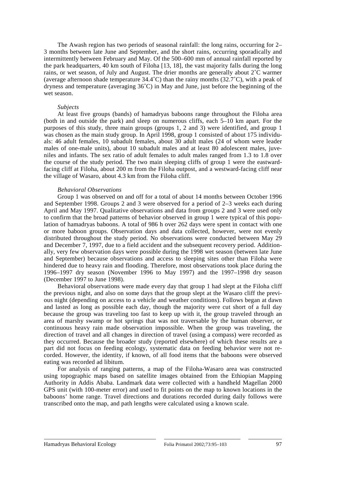The Awash region has two periods of seasonal rainfall: the long rains, occurring for 2– 3 months between late June and September, and the short rains, occurring sporadically and intermittently between February and May. Of the 500–600 mm of annual rainfall reported by the park headquarters, 40 km south of Filoha [13, 18], the vast majority falls during the long rains, or wet season, of July and August. The drier months are generally about 2˚C warmer (average afternoon shade temperature 34.4˚C) than the rainy months (32.7˚C), with a peak of dryness and temperature (averaging 36˚C) in May and June, just before the beginning of the wet season.

#### *Subjects*

At least five groups (bands) of hamadryas baboons range throughout the Filoha area (both in and outside the park) and sleep on numerous cliffs, each 5–10 km apart. For the purposes of this study, three main groups (groups 1, 2 and 3) were identified, and group 1 was chosen as the main study group. In April 1998, group 1 consisted of about 175 individuals: 46 adult females, 10 subadult females, about 30 adult males (24 of whom were leader males of one-male units), about 10 subadult males and at least 80 adolescent males, juveniles and infants. The sex ratio of adult females to adult males ranged from 1.3 to 1.8 over the course of the study period. The two main sleeping cliffs of group 1 were the eastwardfacing cliff at Filoha, about 200 m from the Filoha outpost, and a westward-facing cliff near the village of Wasaro, about 4.3 km from the Filoha cliff.

#### *Behavioral Observations*

Group 1 was observed on and off for a total of about 14 months between October 1996 and September 1998. Groups 2 and 3 were observed for a period of 2–3 weeks each during April and May 1997. Qualitative observations and data from groups 2 and 3 were used only to confirm that the broad patterns of behavior observed in group 1 were typical of this population of hamadryas baboons. A total of 986 h over 262 days were spent in contact with one or more baboon groups. Observation days and data collected, however, were not evenly distributed throughout the study period. No observations were conducted between May 29 and December 7, 1997, due to a field accident and the subsequent recovery period. Additionally, very few observation days were possible during the 1998 wet season (between late June and September) because observations and access to sleeping sites other than Filoha were hindered due to heavy rain and flooding. Therefore, most observations took place during the 1996–1997 dry season (November 1996 to May 1997) and the 1997–1998 dry season (December 1997 to June 1998).

Behavioral observations were made every day that group 1 had slept at the Filoha cliff the previous night, and also on some days that the group slept at the Wasaro cliff the previous night (depending on access to a vehicle and weather conditions). Follows began at dawn and lasted as long as possible each day, though the majority were cut short of a full day because the group was traveling too fast to keep up with it, the group traveled through an area of marshy swamp or hot springs that was not traversable by the human observer, or continuous heavy rain made observation impossible. When the group was traveling, the direction of travel and all changes in direction of travel (using a compass) were recorded as they occurred. Because the broader study (reported elsewhere) of which these results are a part did not focus on feeding ecology, systematic data on feeding behavior were not recorded. However, the identity, if known, of all food items that the baboons were observed eating was recorded ad libitum.

For analysis of ranging patterns, a map of the Filoha-Wasaro area was constructed using topographic maps based on satellite images obtained from the Ethiopian Mapping Authority in Addis Ababa. Landmark data were collected with a handheld Magellan 2000 GPS unit (with 100-meter error) and used to fit points on the map to known locations in the baboons' home range. Travel directions and durations recorded during daily follows were transcribed onto the map, and path lengths were calculated using a known scale.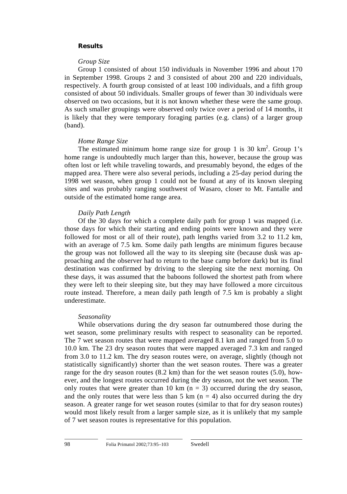#### **Results**

#### *Group Size*

Group 1 consisted of about 150 individuals in November 1996 and about 170 in September 1998. Groups 2 and 3 consisted of about 200 and 220 individuals, respectively. A fourth group consisted of at least 100 individuals, and a fifth group consisted of about 50 individuals. Smaller groups of fewer than 30 individuals were observed on two occasions, but it is not known whether these were the same group. As such smaller groupings were observed only twice over a period of 14 months, it is likely that they were temporary foraging parties (e.g. clans) of a larger group (band).

#### *Home Range Size*

The estimated minimum home range size for group 1 is 30  $\text{km}^2$ . Group 1's home range is undoubtedly much larger than this, however, because the group was often lost or left while traveling towards, and presumably beyond, the edges of the mapped area. There were also several periods, including a 25-day period during the 1998 wet season, when group 1 could not be found at any of its known sleeping sites and was probably ranging southwest of Wasaro, closer to Mt. Fantalle and outside of the estimated home range area.

## *Daily Path Length*

Of the 30 days for which a complete daily path for group 1 was mapped (i.e. those days for which their starting and ending points were known and they were followed for most or all of their route), path lengths varied from 3.2 to 11.2 km, with an average of 7.5 km. Some daily path lengths are minimum figures because the group was not followed all the way to its sleeping site (because dusk was approaching and the observer had to return to the base camp before dark) but its final destination was confirmed by driving to the sleeping site the next morning. On these days, it was assumed that the baboons followed the shortest path from where they were left to their sleeping site, but they may have followed a more circuitous route instead. Therefore, a mean daily path length of 7.5 km is probably a slight underestimate.

#### *Seasonality*

While observations during the dry season far outnumbered those during the wet season, some preliminary results with respect to seasonality can be reported. The 7 wet season routes that were mapped averaged 8.1 km and ranged from 5.0 to 10.0 km. The 23 dry season routes that were mapped averaged 7.3 km and ranged from 3.0 to 11.2 km. The dry season routes were, on average, slightly (though not statistically significantly) shorter than the wet season routes. There was a greater range for the dry season routes (8.2 km) than for the wet season routes (5.0), however, and the longest routes occurred during the dry season, not the wet season. The only routes that were greater than 10 km  $(n = 3)$  occurred during the dry season, and the only routes that were less than 5 km  $(n = 4)$  also occurred during the dry season. A greater range for wet season routes (similar to that for dry season routes) would most likely result from a larger sample size, as it is unlikely that my sample of 7 wet season routes is representative for this population.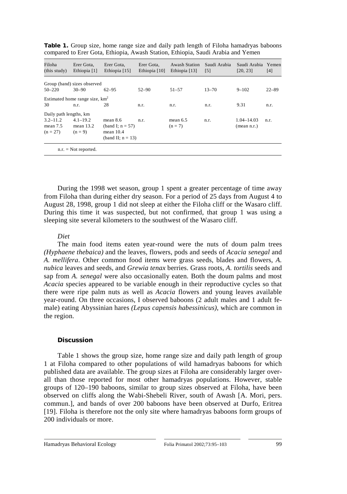| Filoha<br>(this study)                                             | Erer Gota.<br>Ethiopia <sup>[1]</sup>              | Erer Gota.<br>Ethiopia [15]                                            | Erer Gota.<br>Ethiopia [10] | Awash Station<br>Ethiopia [13] | Saudi Arabia<br>$\lceil 5 \rceil$ | Saudi Arabia Yemen<br>[20, 23] | [4]       |
|--------------------------------------------------------------------|----------------------------------------------------|------------------------------------------------------------------------|-----------------------------|--------------------------------|-----------------------------------|--------------------------------|-----------|
| $50 - 220$                                                         | Group (band) sizes observed<br>$30 - 90$           | $62 - 95$                                                              | $52 - 90$                   | $51 - 57$                      | $13 - 70$                         | $9 - 102$                      | $22 - 89$ |
| 30                                                                 | Estimated home range size, km <sup>2</sup><br>n.r. | 28                                                                     | n.r.                        | n.r.                           | n.r.                              | 9.31                           | n.r.      |
| Daily path lengths, km<br>$3.2 - 11.2$<br>mean $7.5$<br>$(n = 27)$ | $4.1 - 19.2$<br>mean $13.2$<br>$(n=9)$             | mean 8.6<br>(band I; $n = 57$ )<br>mean $10.4$<br>(band II: $n = 13$ ) | n.r.                        | mean $6.5$<br>$(n = 7)$        | n.r.                              | $1.04 - 14.03$<br>(mean n.r.)  | n.r.      |
| $n.r. = Not reported.$                                             |                                                    |                                                                        |                             |                                |                                   |                                |           |

**Table 1.** Group size, home range size and daily path length of Filoha hamadryas baboons compared to Erer Gota, Ethiopia, Awash Station, Ethiopia, Saudi Arabia and Yemen

During the 1998 wet season, group 1 spent a greater percentage of time away from Filoha than during either dry season. For a period of 25 days from August 4 to August 28, 1998, group 1 did not sleep at either the Filoha cliff or the Wasaro cliff. During this time it was suspected, but not confirmed, that group 1 was using a sleeping site several kilometers to the southwest of the Wasaro cliff.

## *Diet*

The main food items eaten year-round were the nuts of doum palm trees *(Hyphaene thebaica)* and the leaves, flowers, pods and seeds of *Acacia senegal* and *A. mellifera*. Other common food items were grass seeds, blades and flowers, *A. nubica* leaves and seeds, and *Grewia tenax* berries. Grass roots, *A. tortilis* seeds and sap from *A. senegal* were also occasionally eaten. Both the doum palms and most *Acacia* species appeared to be variable enough in their reproductive cycles so that there were ripe palm nuts as well as *Acacia* flowers and young leaves available year-round. On three occasions, I observed baboons (2 adult males and 1 adult female) eating Abyssinian hares *(Lepus capensis habessinicus)*, which are common in the region.

## **Discussion**

Table 1 shows the group size, home range size and daily path length of group 1 at Filoha compared to other populations of wild hamadryas baboons for which published data are available. The group sizes at Filoha are considerably larger overall than those reported for most other hamadryas populations. However, stable groups of 120–190 baboons, similar to group sizes observed at Filoha, have been observed on cliffs along the Wabi-Shebeli River, south of Awash [A. Mori, pers. commun.], and bands of over 200 baboons have been observed at Durfo, Eritrea [19]. Filoha is therefore not the only site where hamadryas baboons form groups of 200 individuals or more.

Hamadryas Behavioral Ecology Folia Primatol 2002;73:95–103 99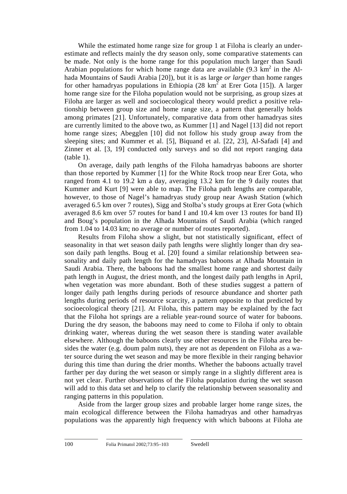While the estimated home range size for group 1 at Filoha is clearly an underestimate and reflects mainly the dry season only, some comparative statements can be made. Not only is the home range for this population much larger than Saudi Arabian populations for which home range data are available  $(9.3 \text{ km}^2 \text{ in the Al-})$ hada Mountains of Saudi Arabia [20]), but it is as large *or larger* than home ranges for other hamadryas populations in Ethiopia (28 km<sup>2</sup> at Erer Gota [15]). A larger home range size for the Filoha population would not be surprising, as group sizes at Filoha are larger as well and socioecological theory would predict a positive relationship between group size and home range size, a pattern that generally holds among primates [21]. Unfortunately, comparative data from other hamadryas sites are currently limited to the above two, as Kummer [1] and Nagel [13] did not report home range sizes; Abegglen [10] did not follow his study group away from the sleeping sites; and Kummer et al. [5], Biquand et al. [22, 23], Al-Safadi [4] and Zinner et al. [3, 19] conducted only surveys and so did not report ranging data (table 1).

On average, daily path lengths of the Filoha hamadryas baboons are shorter than those reported by Kummer [1] for the White Rock troop near Erer Gota, who ranged from 4.1 to 19.2 km a day, averaging 13.2 km for the 9 daily routes that Kummer and Kurt [9] were able to map. The Filoha path lengths are comparable, however, to those of Nagel's hamadryas study group near Awash Station (which averaged 6.5 km over 7 routes), Sigg and Stolba's study groups at Erer Gota (which averaged 8.6 km over 57 routes for band I and 10.4 km over 13 routes for band II) and Boug's population in the Alhada Mountains of Saudi Arabia (which ranged from 1.04 to 14.03 km; no average or number of routes reported).

Results from Filoha show a slight, but not statistically significant, effect of seasonality in that wet season daily path lengths were slightly longer than dry season daily path lengths. Boug et al. [20] found a similar relationship between seasonality and daily path length for the hamadryas baboons at Alhada Mountain in Saudi Arabia. There, the baboons had the smallest home range and shortest daily path length in August, the driest month, and the longest daily path lengths in April, when vegetation was more abundant. Both of these studies suggest a pattern of longer daily path lengths during periods of resource abundance and shorter path lengths during periods of resource scarcity, a pattern opposite to that predicted by socioecological theory [21]. At Filoha, this pattern may be explained by the fact that the Filoha hot springs are a reliable year-round source of water for baboons. During the dry season, the baboons may need to come to Filoha if only to obtain drinking water, whereas during the wet season there is standing water available elsewhere. Although the baboons clearly use other resources in the Filoha area besides the water (e.g. doum palm nuts), they are not as dependent on Filoha as a water source during the wet season and may be more flexible in their ranging behavior during this time than during the drier months. Whether the baboons actually travel farther per day during the wet season or simply range in a slightly different area is not yet clear. Further observations of the Filoha population during the wet season will add to this data set and help to clarify the relationship between seasonality and ranging patterns in this population.

Aside from the larger group sizes and probable larger home range sizes, the main ecological difference between the Filoha hamadryas and other hamadryas populations was the apparently high frequency with which baboons at Filoha ate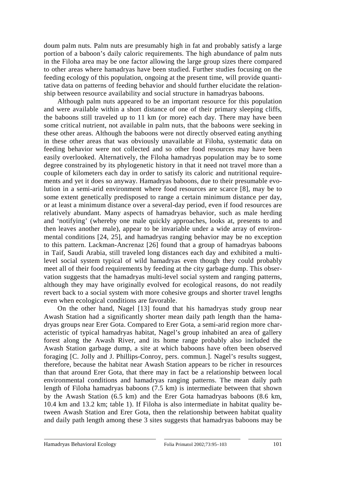doum palm nuts. Palm nuts are presumably high in fat and probably satisfy a large portion of a baboon's daily caloric requirements. The high abundance of palm nuts in the Filoha area may be one factor allowing the large group sizes there compared to other areas where hamadryas have been studied. Further studies focusing on the feeding ecology of this population, ongoing at the present time, will provide quantitative data on patterns of feeding behavior and should further elucidate the relationship between resource availability and social structure in hamadryas baboons.

Although palm nuts appeared to be an important resource for this population and were available within a short distance of one of their primary sleeping cliffs, the baboons still traveled up to 11 km (or more) each day. There may have been some critical nutrient, not available in palm nuts, that the baboons were seeking in these other areas. Although the baboons were not directly observed eating anything in these other areas that was obviously unavailable at Filoha, systematic data on feeding behavior were not collected and so other food resources may have been easily overlooked. Alternatively, the Filoha hamadryas population may be to some degree constrained by its phylogenetic history in that it need not travel more than a couple of kilometers each day in order to satisfy its caloric and nutritional requirements and yet it does so anyway. Hamadryas baboons, due to their presumable evolution in a semi-arid environment where food resources are scarce [8], may be to some extent genetically predisposed to range a certain minimum distance per day, or at least a minimum distance over a several-day period, even if food resources are relatively abundant. Many aspects of hamadryas behavior, such as male herding and 'notifying' (whereby one male quickly approaches, looks at, presents to and then leaves another male), appear to be invariable under a wide array of environmental conditions [24, 25], and hamadryas ranging behavior may be no exception to this pattern. Lackman-Ancrenaz [26] found that a group of hamadryas baboons in Taif, Saudi Arabia, still traveled long distances each day and exhibited a multilevel social system typical of wild hamadryas even though they could probably meet all of their food requirements by feeding at the city garbage dump. This observation suggests that the hamadryas multi-level social system and ranging patterns, although they may have originally evolved for ecological reasons, do not readily revert back to a social system with more cohesive groups and shorter travel lengths even when ecological conditions are favorable.

On the other hand, Nagel [13] found that his hamadryas study group near Awash Station had a significantly shorter mean daily path length than the hamadryas groups near Erer Gota. Compared to Erer Gota, a semi-arid region more characteristic of typical hamadryas habitat, Nagel's group inhabited an area of gallery forest along the Awash River, and its home range probably also included the Awash Station garbage dump, a site at which baboons have often been observed foraging [C. Jolly and J. Phillips-Conroy, pers. commun.]. Nagel's results suggest, therefore, because the habitat near Awash Station appears to be richer in resources than that around Erer Gota, that there may in fact be a relationship between local environmental conditions and hamadryas ranging patterns. The mean daily path length of Filoha hamadryas baboons (7.5 km) is intermediate between that shown by the Awash Station (6.5 km) and the Erer Gota hamadryas baboons (8.6 km, 10.4 km and 13.2 km; table 1). If Filoha is also intermediate in habitat quality between Awash Station and Erer Gota, then the relationship between habitat quality and daily path length among these 3 sites suggests that hamadryas baboons may be

Hamadryas Behavioral Ecology Folia Primatol 2002;73:95–103 101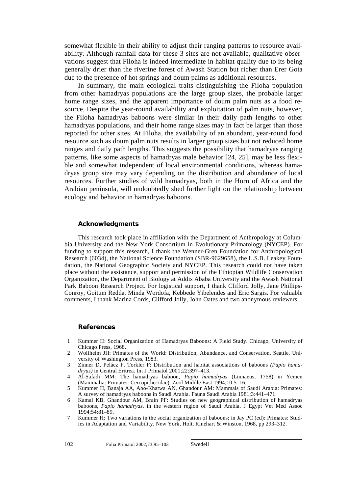somewhat flexible in their ability to adjust their ranging patterns to resource availability. Although rainfall data for these 3 sites are not available, qualitative observations suggest that Filoha is indeed intermediate in habitat quality due to its being generally drier than the riverine forest of Awash Station but richer than Erer Gota due to the presence of hot springs and doum palms as additional resources.

In summary, the main ecological traits distinguishing the Filoha population from other hamadryas populations are the large group sizes, the probable larger home range sizes, and the apparent importance of doum palm nuts as a food resource. Despite the year-round availability and exploitation of palm nuts, however, the Filoha hamadryas baboons were similar in their daily path lengths to other hamadryas populations, and their home range sizes may in fact be larger than those reported for other sites. At Filoha, the availability of an abundant, year-round food resource such as doum palm nuts results in larger group sizes but not reduced home ranges and daily path lengths. This suggests the possibility that hamadryas ranging patterns, like some aspects of hamadryas male behavior [24, 25], may be less flexible and somewhat independent of local environmental conditions, whereas hamadryas group size may vary depending on the distribution and abundance of local resources. Further studies of wild hamadryas, both in the Horn of Africa and the Arabian peninsula, will undoubtedly shed further light on the relationship between ecology and behavior in hamadryas baboons.

## **Acknowledgments**

This research took place in affiliation with the Department of Anthropology at Columbia University and the New York Consortium in Evolutionary Primatology (NYCEP). For funding to support this research, I thank the Wenner-Gren Foundation for Anthropological Research (6034), the National Science Foundation (SBR-9629658), the L.S.B. Leakey Foundation, the National Geographic Society and NYCEP. This research could not have taken place without the assistance, support and permission of the Ethiopian Wildlife Conservation Organization, the Department of Biology at Addis Ababa University and the Awash National Park Baboon Research Project. For logistical support, I thank Clifford Jolly, Jane Phillips-Conroy, Goitum Redda, Minda Wordofa, Kebbede Yibelendes and Eric Sargis. For valuable comments, I thank Marina Cords, Clifford Jolly, John Oates and two anonymous reviewers.

#### **References**

- 1 Kummer H: Social Organization of Hamadryas Baboons: A Field Study. Chicago, University of Chicago Press, 1968.
- 2 Wolfheim JH: Primates of the World: Distribution, Abundance, and Conservation. Seattle, University of Washington Press, 1983.
- 3 Zinner D, Peláez F, Torkler F: Distribution and habitat associations of baboons *(Papio hamadryas)* in Central Eritrea. Int J Primatol 2001;22:397–413.
- 4 Al-Safadi MM: The hamadryas baboon, *Papio hamadryas* (Linnaeus, 1758) in Yemen (Mammalia: Primates: Cercopithecidae). Zool Middle East 1994;10:5–16.
- 5 Kummer H, Banaja AA, Abo-Khatwa AN, Ghandour AM: Mammals of Saudi Arabia: Primates: A survey of hamadryas baboons in Saudi Arabia. Fauna Saudi Arabia 1981;3:441–471.
- 6 Kamal KB, Ghandour AM, Brain PF: Studies on new geographical distribution of hamadryas baboons, *Papio hamadryas,* in the western region of Saudi Arabia. J Egypt Vet Med Assoc 1994;54:81–89.
- 7 Kummer H: Two variations in the social organization of baboons; in Jay PC (ed): Primates: Studies in Adaptation and Variability. New York, Holt, Rinehart & Winston, 1968, pp 293–312.